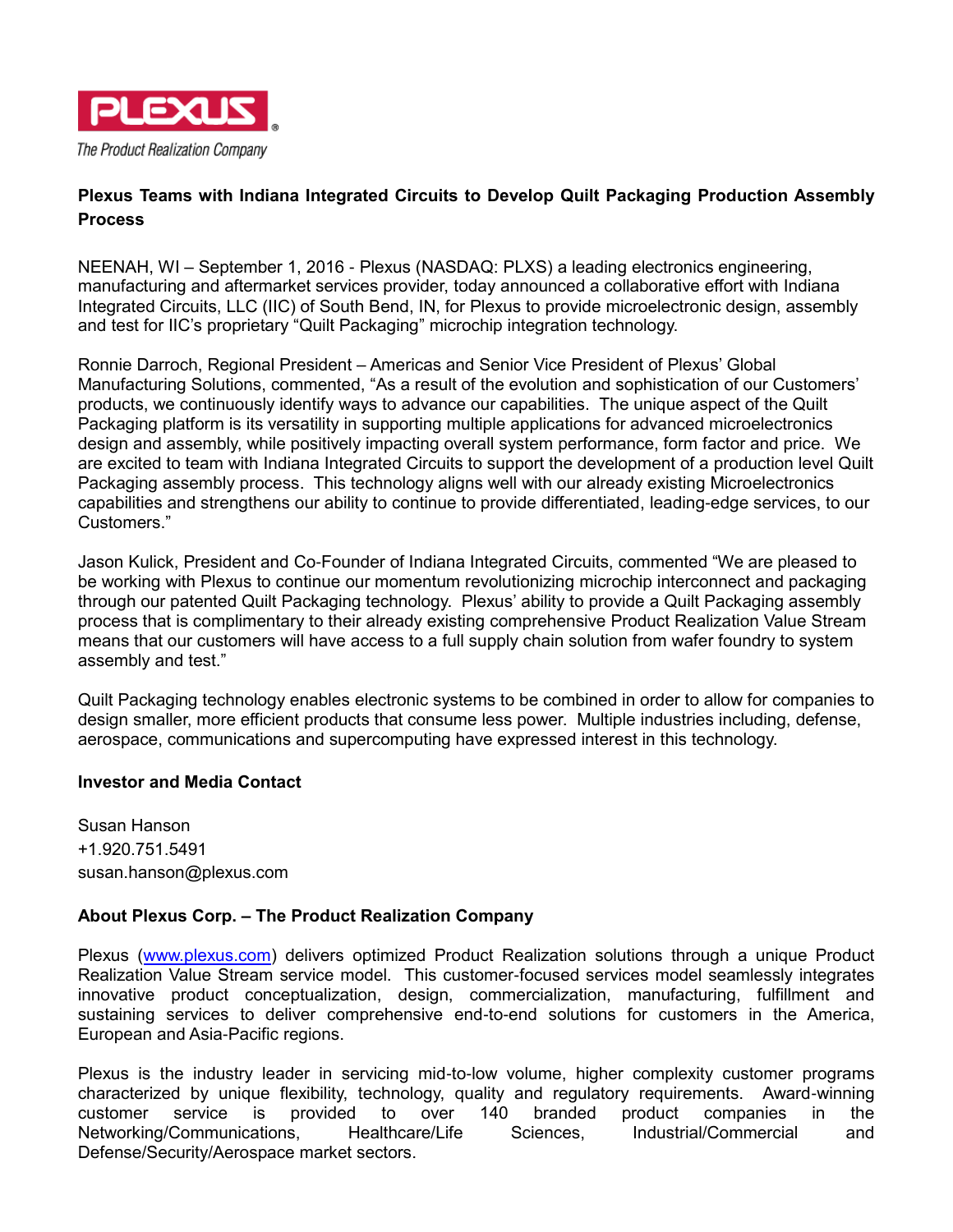

## **Plexus Teams with Indiana Integrated Circuits to Develop Quilt Packaging Production Assembly Process**

NEENAH, WI – September 1, 2016 - Plexus (NASDAQ: PLXS) a leading electronics engineering, manufacturing and aftermarket services provider, today announced a collaborative effort with Indiana Integrated Circuits, LLC (IIC) of South Bend, IN, for Plexus to provide microelectronic design, assembly and test for IIC's proprietary "Quilt Packaging" microchip integration technology.

Ronnie Darroch, Regional President – Americas and Senior Vice President of Plexus' Global Manufacturing Solutions, commented, "As a result of the evolution and sophistication of our Customers' products, we continuously identify ways to advance our capabilities. The unique aspect of the Quilt Packaging platform is its versatility in supporting multiple applications for advanced microelectronics design and assembly, while positively impacting overall system performance, form factor and price. We are excited to team with Indiana Integrated Circuits to support the development of a production level Quilt Packaging assembly process. This technology aligns well with our already existing Microelectronics capabilities and strengthens our ability to continue to provide differentiated, leading-edge services, to our Customers."

Jason Kulick, President and Co-Founder of Indiana Integrated Circuits, commented "We are pleased to be working with Plexus to continue our momentum revolutionizing microchip interconnect and packaging through our patented Quilt Packaging technology. Plexus' ability to provide a Quilt Packaging assembly process that is complimentary to their already existing comprehensive Product Realization Value Stream means that our customers will have access to a full supply chain solution from wafer foundry to system assembly and test."

Quilt Packaging technology enables electronic systems to be combined in order to allow for companies to design smaller, more efficient products that consume less power. Multiple industries including, defense, aerospace, communications and supercomputing have expressed interest in this technology.

## **Investor and Media Contact**

Susan Hanson +1.920.751.5491 susan.hanson@plexus.com

## **About Plexus Corp. – The Product Realization Company**

Plexus [\(www.plexus.com\)](file://///neen-dsk-002/data02/PLXS/INVREL/Press%20releases/2015/www.plexus.com) delivers optimized Product Realization solutions through a unique Product Realization Value Stream service model. This customer-focused services model seamlessly integrates innovative product conceptualization, design, commercialization, manufacturing, fulfillment and sustaining services to deliver comprehensive end-to-end solutions for customers in the America, European and Asia-Pacific regions.

Plexus is the industry leader in servicing mid-to-low volume, higher complexity customer programs characterized by unique flexibility, technology, quality and regulatory requirements. Award-winning customer service is provided to over 140 branded product companies in the Networking/Communications, Healthcare/Life Sciences, Industrial/Commercial and Defense/Security/Aerospace market sectors.